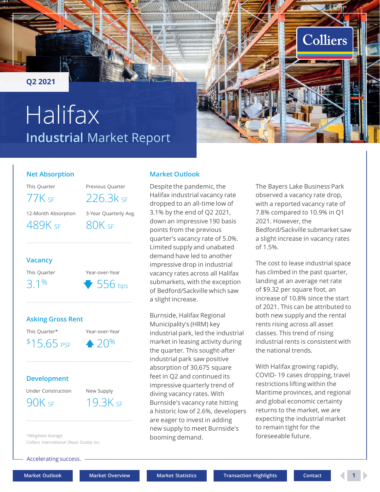<span id="page-0-0"></span>**Q2 2021**

# **Industrial** Market Report Halifax



#### **Net Absorption**

This Quarter **Previous Quarter** 

12-Month Absorption 3-Year Quarterly Avg. 489K SF 80K SF

77K SF 226.3k SF

#### **Vacancy**

This Quarter Year-over-Year





#### **Development**

Under Construction New Supply

90K SF 19.3K SF

*\*Weighted Average*

*Colliers International (Nova Scotia) Inc.*

Accelerating success.

booming demand.

**Market Outlook**

a slight increase.

Burnside, Halifax Regional Municipality's (HRM) key

industrial park, led the industrial market in leasing activity during the quarter. This sought-after industrial park saw positive absorption of 30,675 square feet in Q2 and continued its impressive quarterly trend of diving vacancy rates. With Burnside's vacancy rate hitting a historic low of 2.6%, developers are eager to invest in adding new supply to meet Burnside's

Despite the pandemic, the Halifax industrial vacancy rate dropped to an all-time low of 3.1% by the end of Q2 2021, down an impressive 190 basis points from the previous

quarter's vacancy rate of 5.0%. Limited supply and unabated demand have led to another impressive drop in industrial vacancy rates across all Halifax submarkets, with the exception of Bedford/Sackville which saw

**[Market Outlook](#page-0-0) [Market Overview](#page-1-0) [Market Statistics](#page-2-0) [Transaction Highlights](#page-2-0) [Contact](#page-3-0) 1**

The Bayers Lake Business Park observed a vacancy rate drop, with a reported vacancy rate of 7.8% compared to 10.9% in Q1 2021. However, the Bedford/Sackville submarket saw a slight increase in vacancy rates of 1.5%.

The cost to lease industrial space has climbed in the past quarter, landing at an average net rate of \$9.32 per square foot, an increase of 10.8% since the start of 2021. This can be attributed to both new supply and the rental rents rising across all asset classes. This trend of rising industrial rents is consistent with the national trends.

With Halifax growing rapidly, COVID- 19 cases dropping, travel restrictions lifting within the Maritime provinces, and regional and global economic certainty returns to the market, we are expecting the industrial market to remain tight for the foreseeable future.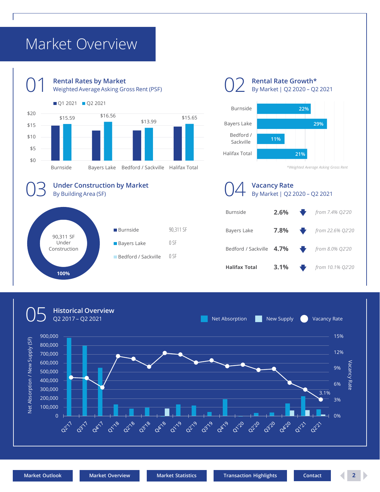### <span id="page-1-0"></span>Market Overview





**Rental Rate Growth\*** By Market | Q2 2020 – Q2 2021



*\*Weighted Average Asking Gross Rent*

**Vacancy Rate** By Market | Q2 2020 – Q2 2021





90,311 SF

0 SF

0 SF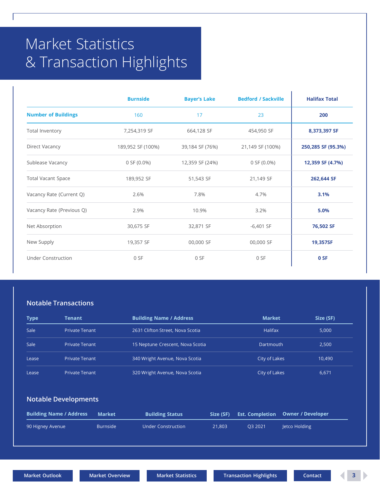## <span id="page-2-0"></span>Market Statistics & Transaction Highlights

|                            | <b>Burnside</b>   | <b>Bayer's Lake</b> | <b>Bedford / Sackville</b> | <b>Halifax Total</b> |
|----------------------------|-------------------|---------------------|----------------------------|----------------------|
| <b>Number of Buildings</b> | 160               | 17                  | 23                         | 200                  |
| Total Inventory            | 7,254,319 SF      | 664,128 SF          | 454,950 SF                 | 8,373,397 SF         |
| Direct Vacancy             | 189,952 SF (100%) | 39,184 SF (76%)     | 21,149 SF (100%)           | 250,285 SF (95.3%)   |
| Sublease Vacancy           | $0$ SF (0.0%)     | 12,359 SF (24%)     | $0$ SF $(0.0\%)$           | 12,359 SF (4.7%)     |
| <b>Total Vacant Space</b>  | 189,952 SF        | 51,543 SF           | 21,149 SF                  | 262,644 SF           |
| Vacancy Rate (Current Q)   | 2.6%              | 7.8%                | 4.7%                       | 3.1%                 |
| Vacancy Rate (Previous Q)  | 2.9%              | 10.9%               | 3.2%                       | 5.0%                 |
| Net Absorption             | 30,675 SF         | 32,871 SF           | $-6,401$ SF                | 76,502 SF            |
| New Supply                 | 19,357 SF         | 00,000 SF           | 00,000 SF                  | 19,357SF             |
| <b>Under Construction</b>  | 0 SF              | 0 SF                | 0 SF                       | 0 SF                 |

#### **Notable Transactions**

| <b>Type</b> | <b>Tenant</b>         | <b>Building Name / Address</b>   | <b>Market</b>  | Size (SF) |
|-------------|-----------------------|----------------------------------|----------------|-----------|
| Sale        | <b>Private Tenant</b> | 2631 Clifton Street, Nova Scotia | <b>Halifax</b> | 5,000     |
| Sale        | <b>Private Tenant</b> | 15 Neptune Crescent, Nova Scotia | Dartmouth      | 2.500     |
| Lease       | <b>Private Tenant</b> | 340 Wright Avenue, Nova Scotia   | City of Lakes  | 10,490    |
| Lease       | <b>Private Tenant</b> | 320 Wright Avenue, Nova Scotia   | City of Lakes  | 6,671     |

#### **Notable Developments**

| <b>Building Name / Address</b> | Market          | <b>Building Status</b> | Size (SF) |         | <b>Est. Completion Owner / Developer</b> |
|--------------------------------|-----------------|------------------------|-----------|---------|------------------------------------------|
| 90 Higney Avenue               | <b>Burnside</b> | Under Construction     | 21.803    | O3 2021 | letco Holding                            |